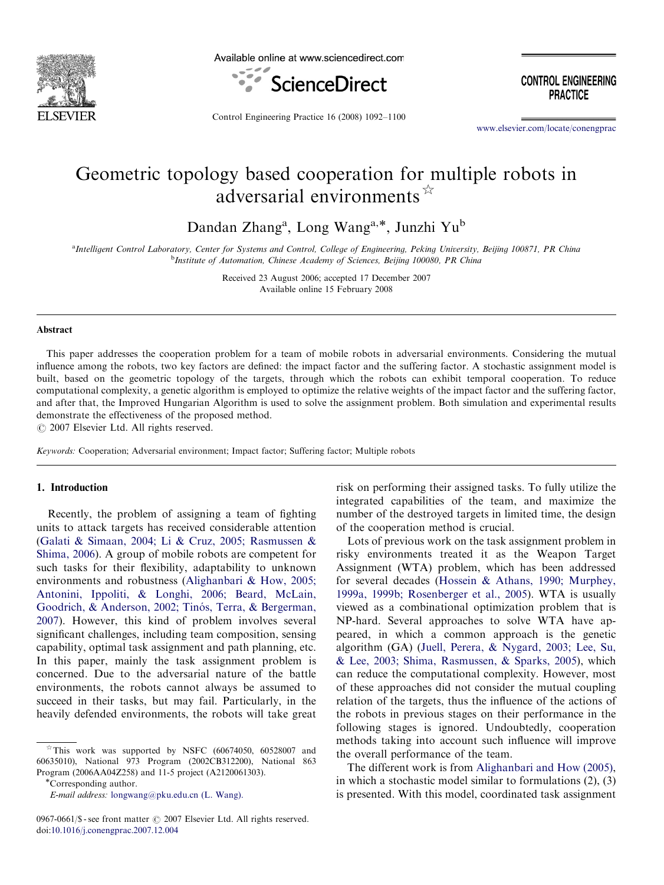

Available online at www.sciencedirect.com



**CONTROL ENGINEERING PRACTICE** 

Control Engineering Practice 16 (2008) 1092–1100

<www.elsevier.com/locate/conengprac>

## Geometric topology based cooperation for multiple robots in adversarial environments  $\mathbb{R}$

Dandan Zhang<sup>a</sup>, Long Wang<sup>a,\*</sup>, Junzhi Yu<sup>b</sup>

a<br>
<sup>a</sup>Intelligent Control Laboratory, Center for Systems and Control, College of Engineering, Peking University, Beijing 100871, PR China <sup>b</sup>Institute of Automation, Chinese Academy of Sciences, Beijing 100080, PR China

> Received 23 August 2006; accepted 17 December 2007 Available online 15 February 2008

#### Abstract

This paper addresses the cooperation problem for a team of mobile robots in adversarial environments. Considering the mutual influence among the robots, two key factors are defined: the impact factor and the suffering factor. A stochastic assignment model is built, based on the geometric topology of the targets, through which the robots can exhibit temporal cooperation. To reduce computational complexity, a genetic algorithm is employed to optimize the relative weights of the impact factor and the suffering factor, and after that, the Improved Hungarian Algorithm is used to solve the assignment problem. Both simulation and experimental results demonstrate the effectiveness of the proposed method.

 $C$  2007 Elsevier Ltd. All rights reserved.

Keywords: Cooperation; Adversarial environment; Impact factor; Suffering factor; Multiple robots

#### 1. Introduction

Recently, the problem of assigning a team of fighting units to attack targets has received considerable attention [\(Galati](#page--1-0) & [Simaan, 2004; Li & Cruz, 2005; Rasmussen](#page--1-0) & [Shima, 2006](#page--1-0)). A group of mobile robots are competent for such tasks for their flexibility, adaptability to unknown environments and robustness ([Alighanbari & How, 2005;](#page--1-0) [Antonini, Ippoliti, & Longhi, 2006; Beard, McLain,](#page--1-0) Goodrich, & Anderson, 2002; Tinós, Terra, [& Bergerman,](#page--1-0) [2007\)](#page--1-0). However, this kind of problem involves several significant challenges, including team composition, sensing capability, optimal task assignment and path planning, etc. In this paper, mainly the task assignment problem is concerned. Due to the adversarial nature of the battle environments, the robots cannot always be assumed to succeed in their tasks, but may fail. Particularly, in the heavily defended environments, the robots will take great

Corresponding author.

E-mail address: [longwang@pku.edu.cn \(L. Wang\).](mailto:longwang@pku.edu.cn)

risk on performing their assigned tasks. To fully utilize the integrated capabilities of the team, and maximize the number of the destroyed targets in limited time, the design of the cooperation method is crucial.

Lots of previous work on the task assignment problem in risky environments treated it as the Weapon Target Assignment (WTA) problem, which has been addressed for several decades ([Hossein](#page--1-0) [& Athans, 1990; Murphey,](#page--1-0) [1999a, 1999b; Rosenberger et al., 2005](#page--1-0)). WTA is usually viewed as a combinational optimization problem that is NP-hard. Several approaches to solve WTA have appeared, in which a common approach is the genetic algorithm (GA) ([Juell, Perera, & Nygard, 2003; Lee, Su,](#page--1-0) [& Lee, 2003; Shima, Rasmussen,](#page--1-0) & [Sparks, 2005](#page--1-0)), which can reduce the computational complexity. However, most of these approaches did not consider the mutual coupling relation of the targets, thus the influence of the actions of the robots in previous stages on their performance in the following stages is ignored. Undoubtedly, cooperation methods taking into account such influence will improve the overall performance of the team.

The different work is from [Alighanbari and How \(2005\)](#page--1-0), in which a stochastic model similar to formulations (2), (3) is presented. With this model, coordinated task assignment

 $*$ This work was supported by NSFC (60674050, 60528007 and 60635010), National 973 Program (2002CB312200), National 863 Program (2006AA04Z258) and 11-5 project (A2120061303). -

<sup>0967-0661/\$ -</sup> see front matter  $\odot$  2007 Elsevier Ltd. All rights reserved. doi:[10.1016/j.conengprac.2007.12.004](dx.doi.org/10.1016/j.conengprac.2007.12.004)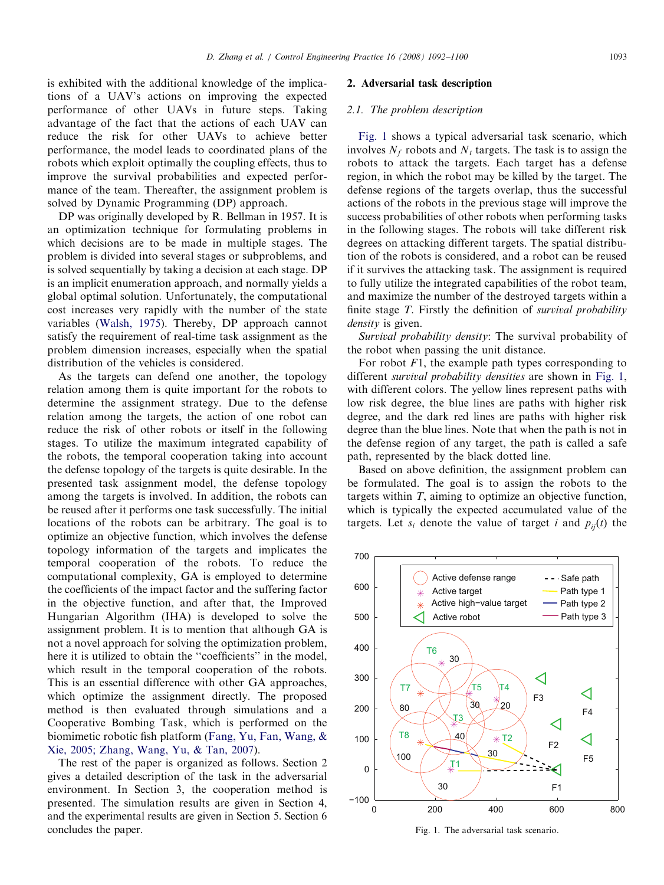is exhibited with the additional knowledge of the implications of a UAV's actions on improving the expected performance of other UAVs in future steps. Taking advantage of the fact that the actions of each UAV can reduce the risk for other UAVs to achieve better performance, the model leads to coordinated plans of the robots which exploit optimally the coupling effects, thus to improve the survival probabilities and expected performance of the team. Thereafter, the assignment problem is solved by Dynamic Programming (DP) approach.

DP was originally developed by R. Bellman in 1957. It is an optimization technique for formulating problems in which decisions are to be made in multiple stages. The problem is divided into several stages or subproblems, and is solved sequentially by taking a decision at each stage. DP is an implicit enumeration approach, and normally yields a global optimal solution. Unfortunately, the computational cost increases very rapidly with the number of the state variables [\(Walsh, 1975](#page--1-0)). Thereby, DP approach cannot satisfy the requirement of real-time task assignment as the problem dimension increases, especially when the spatial distribution of the vehicles is considered.

As the targets can defend one another, the topology relation among them is quite important for the robots to determine the assignment strategy. Due to the defense relation among the targets, the action of one robot can reduce the risk of other robots or itself in the following stages. To utilize the maximum integrated capability of the robots, the temporal cooperation taking into account the defense topology of the targets is quite desirable. In the presented task assignment model, the defense topology among the targets is involved. In addition, the robots can be reused after it performs one task successfully. The initial locations of the robots can be arbitrary. The goal is to optimize an objective function, which involves the defense topology information of the targets and implicates the temporal cooperation of the robots. To reduce the computational complexity, GA is employed to determine the coefficients of the impact factor and the suffering factor in the objective function, and after that, the Improved Hungarian Algorithm (IHA) is developed to solve the assignment problem. It is to mention that although GA is not a novel approach for solving the optimization problem, here it is utilized to obtain the ''coefficients'' in the model, which result in the temporal cooperation of the robots. This is an essential difference with other GA approaches, which optimize the assignment directly. The proposed method is then evaluated through simulations and a Cooperative Bombing Task, which is performed on the biomimetic robotic fish platform ([Fang, Yu, Fan, Wang, &](#page--1-0) [Xie, 2005; Zhang, Wang, Yu, & Tan, 2007\)](#page--1-0).

The rest of the paper is organized as follows. Section 2 gives a detailed description of the task in the adversarial environment. In Section 3, the cooperation method is presented. The simulation results are given in Section 4, and the experimental results are given in Section 5. Section 6 concludes the paper.

#### 2. Adversarial task description

### 2.1. The problem description

Fig. 1 shows a typical adversarial task scenario, which involves  $N_f$  robots and  $N_t$  targets. The task is to assign the robots to attack the targets. Each target has a defense region, in which the robot may be killed by the target. The defense regions of the targets overlap, thus the successful actions of the robots in the previous stage will improve the success probabilities of other robots when performing tasks in the following stages. The robots will take different risk degrees on attacking different targets. The spatial distribution of the robots is considered, and a robot can be reused if it survives the attacking task. The assignment is required to fully utilize the integrated capabilities of the robot team, and maximize the number of the destroyed targets within a finite stage  $T$ . Firstly the definition of *survival probability* density is given.

Survival probability density: The survival probability of the robot when passing the unit distance.

For robot  $F1$ , the example path types corresponding to different *survival probability densities* are shown in Fig. 1, with different colors. The yellow lines represent paths with low risk degree, the blue lines are paths with higher risk degree, and the dark red lines are paths with higher risk degree than the blue lines. Note that when the path is not in the defense region of any target, the path is called a safe path, represented by the black dotted line.

Based on above definition, the assignment problem can be formulated. The goal is to assign the robots to the targets within T, aiming to optimize an objective function, which is typically the expected accumulated value of the targets. Let  $s_i$  denote the value of target i and  $p_{ii}(t)$  the



Fig. 1. The adversarial task scenario.